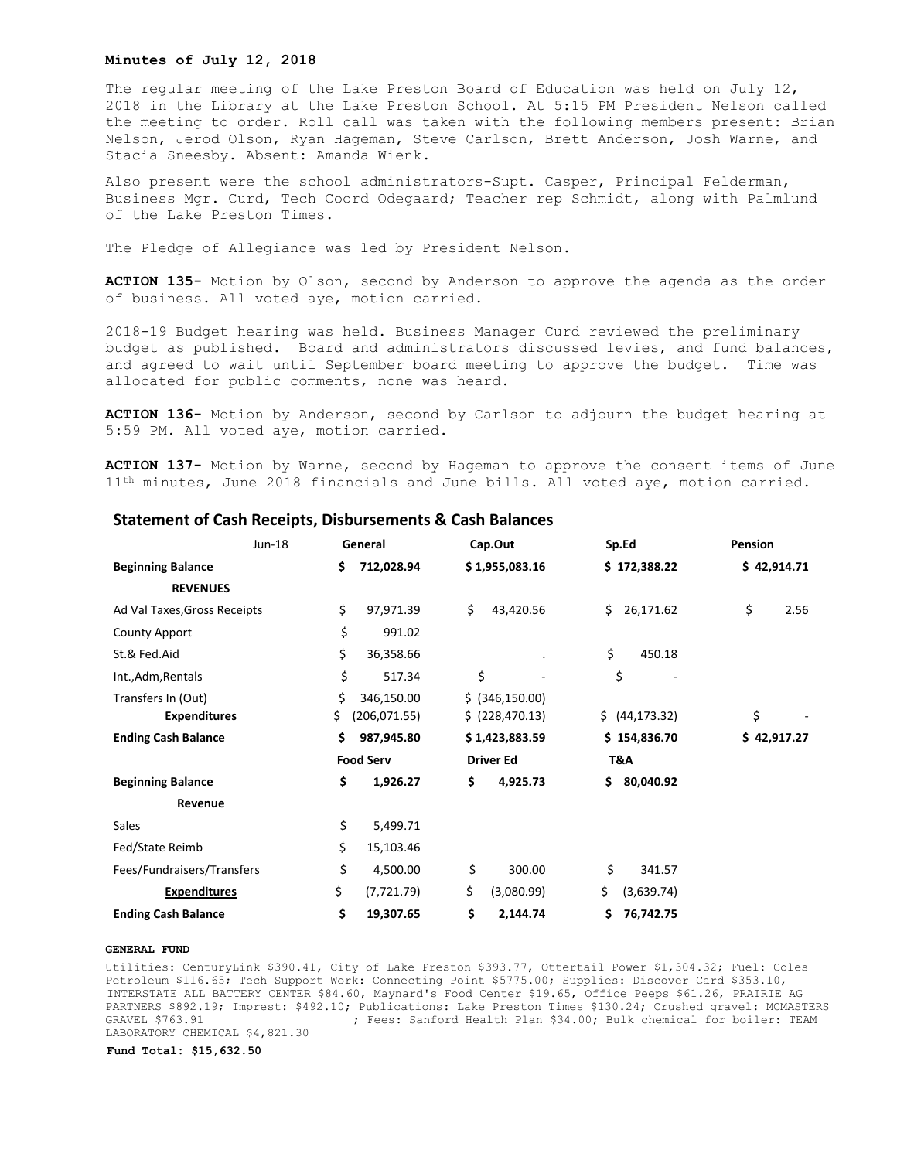#### **Minutes of July 12, 2018**

The regular meeting of the Lake Preston Board of Education was held on July 12, 2018 in the Library at the Lake Preston School. At 5:15 PM President Nelson called the meeting to order. Roll call was taken with the following members present: Brian Nelson, Jerod Olson, Ryan Hageman, Steve Carlson, Brett Anderson, Josh Warne, and Stacia Sneesby. Absent: Amanda Wienk.

Also present were the school administrators-Supt. Casper, Principal Felderman, Business Mgr. Curd, Tech Coord Odegaard; Teacher rep Schmidt, along with Palmlund of the Lake Preston Times.

The Pledge of Allegiance was led by President Nelson.

**ACTION 135-** Motion by Olson, second by Anderson to approve the agenda as the order of business. All voted aye, motion carried.

2018-19 Budget hearing was held. Business Manager Curd reviewed the preliminary budget as published. Board and administrators discussed levies, and fund balances, and agreed to wait until September board meeting to approve the budget. Time was allocated for public comments, none was heard.

**ACTION 136-** Motion by Anderson, second by Carlson to adjourn the budget hearing at 5:59 PM. All voted aye, motion carried.

**ACTION 137-** Motion by Warne, second by Hageman to approve the consent items of June 11<sup>th</sup> minutes, June 2018 financials and June bills. All voted aye, motion carried.

| Jun-18                       |     | General          | Cap.Out          | Sp.Ed            | Pension     |
|------------------------------|-----|------------------|------------------|------------------|-------------|
| <b>Beginning Balance</b>     | \$. | 712,028.94       | \$1,955,083.16   | \$172,388.22     | \$42,914.71 |
| <b>REVENUES</b>              |     |                  |                  |                  |             |
| Ad Val Taxes, Gross Receipts | \$  | 97,971.39        | \$<br>43,420.56  | 26,171.62<br>Ś.  | \$<br>2.56  |
| <b>County Apport</b>         | \$  | 991.02           |                  |                  |             |
| St.& Fed.Aid                 | \$  | 36,358.66        |                  | \$<br>450.18     |             |
| Int., Adm, Rentals           | \$  | 517.34           | \$               | \$               |             |
| Transfers In (Out)           | \$  | 346,150.00       | \$ (346, 150.00) |                  |             |
| <b>Expenditures</b>          | \$  | (206, 071.55)    | \$ (228, 470.13) | \$ (44, 173.32)  | \$          |
| <b>Ending Cash Balance</b>   | \$. | 987,945.80       | \$1,423,883.59   | \$154,836.70     | \$42,917.27 |
|                              |     | <b>Food Serv</b> | <b>Driver Ed</b> | T&A              |             |
| <b>Beginning Balance</b>     | \$  | 1,926.27         | \$<br>4,925.73   | 80,040.92<br>Ś.  |             |
| Revenue                      |     |                  |                  |                  |             |
| Sales                        | \$  | 5,499.71         |                  |                  |             |
| Fed/State Reimb              | \$  | 15,103.46        |                  |                  |             |
| Fees/Fundraisers/Transfers   | \$  | 4,500.00         | \$<br>300.00     | \$<br>341.57     |             |
| <b>Expenditures</b>          | \$  | (7, 721.79)      | \$<br>(3,080.99) | \$<br>(3,639.74) |             |
| <b>Ending Cash Balance</b>   | \$  | 19,307.65        | \$<br>2,144.74   | \$<br>76,742.75  |             |

## **Statement of Cash Receipts, Disbursements & Cash Balances**

#### **GENERAL FUND**

Utilities: CenturyLink \$390.41, City of Lake Preston \$393.77, Ottertail Power \$1,304.32; Fuel: Coles Petroleum \$116.65; Tech Support Work: Connecting Point \$5775.00; Supplies: Discover Card \$353.10, INTERSTATE ALL BATTERY CENTER \$84.60, Maynard's Food Center \$19.65, Office Peeps \$61.26, PRAIRIE AG PARTNERS \$892.19; Imprest: \$492.10; Publications: Lake Preston Times \$130.24; Crushed gravel: MCMASTERS GRAVEL \$763.91 (Fees: Sanford Health Plan \$34.00; Bulk chemical for boiler: TEAM LABORATORY CHEMICAL \$4,821.30

**Fund Total: \$15,632.50**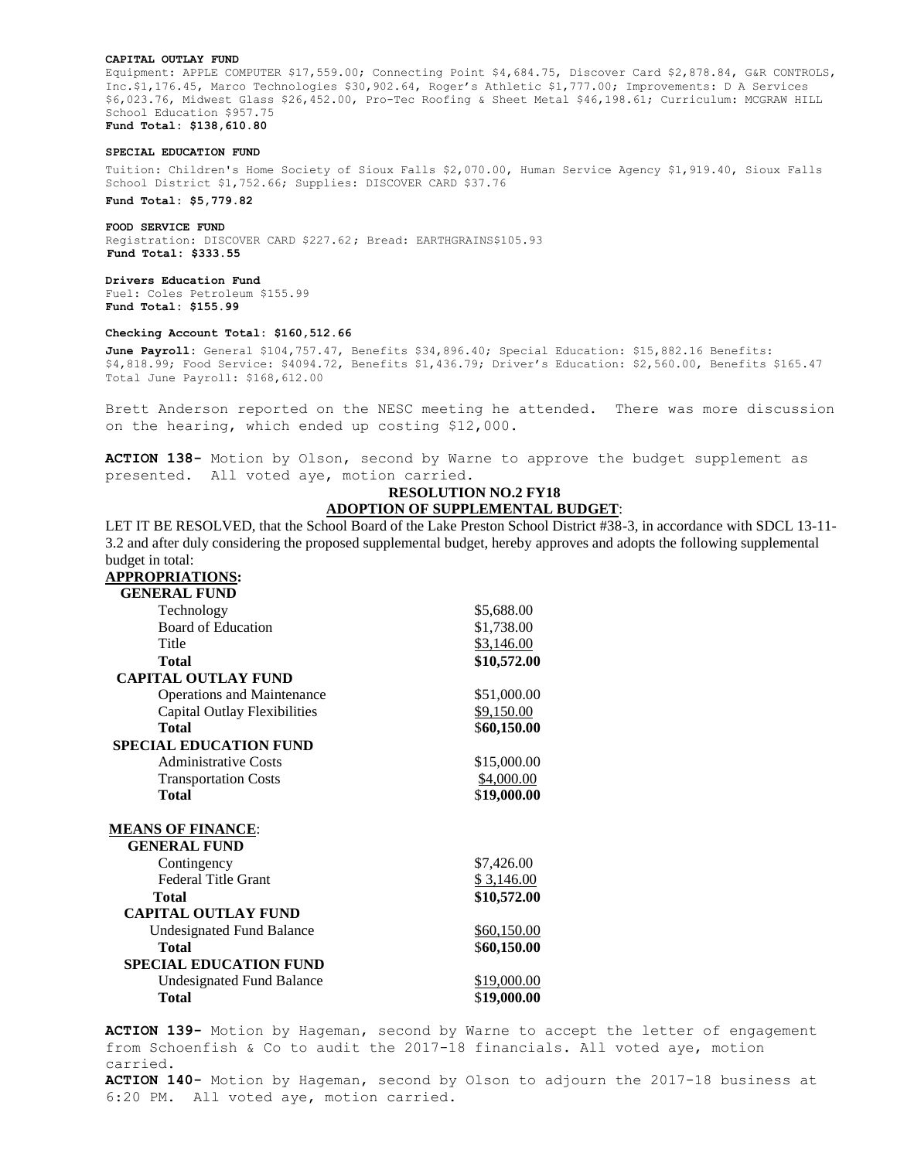#### **CAPITAL OUTLAY FUND**

Equipment: APPLE COMPUTER \$17,559.00; Connecting Point \$4,684.75, Discover Card \$2,878.84, G&R CONTROLS, Inc.\$1,176.45, Marco Technologies \$30,902.64, Roger's Athletic \$1,777.00; Improvements: D A Services \$6,023.76, Midwest Glass \$26,452.00, Pro-Tec Roofing & Sheet Metal \$46,198.61; Curriculum: MCGRAW HILL School Education \$957.75 **Fund Total: \$138,610.80**

#### **SPECIAL EDUCATION FUND**

Tuition: Children's Home Society of Sioux Falls \$2,070.00, Human Service Agency \$1,919.40, Sioux Falls School District \$1,752.66; Supplies: DISCOVER CARD \$37.76

**Fund Total: \$5,779.82**

**FOOD SERVICE FUND**  Registration: DISCOVER CARD \$227.62; Bread: EARTHGRAINS\$105.93 **Fund Total: \$333.55**

**Drivers Education Fund** Fuel: Coles Petroleum \$155.99 **Fund Total: \$155.99**

### **Checking Account Total: \$160,512.66**

**June Payroll:** General \$104,757.47, Benefits \$34,896.40; Special Education: \$15,882.16 Benefits: \$4,818.99; Food Service: \$4094.72, Benefits \$1,436.79; Driver's Education: \$2,560.00, Benefits \$165.47 Total June Payroll: \$168,612.00

Brett Anderson reported on the NESC meeting he attended. There was more discussion on the hearing, which ended up costing \$12,000.

**ACTION 138-** Motion by Olson, second by Warne to approve the budget supplement as presented. All voted aye, motion carried.

# **RESOLUTION NO.2 FY18 ADOPTION OF SUPPLEMENTAL BUDGET**:

LET IT BE RESOLVED, that the School Board of the Lake Preston School District #38-3, in accordance with SDCL 13-11 approves and adopts the following supplemental budget in total:

| 3.2 and after duly considering the proposed supplemental budget, hereby a |             |
|---------------------------------------------------------------------------|-------------|
| budget in total:                                                          |             |
| APPROPRIATIONS:                                                           |             |
| <b>GENERAL FUND</b>                                                       |             |
| Technology                                                                | \$5,688.00  |
| <b>Board of Education</b>                                                 | \$1,738.00  |
| Title                                                                     | \$3,146.00  |
| <b>Total</b>                                                              | \$10,572.00 |
| <b>CAPITAL OUTLAY FUND</b>                                                |             |
| <b>Operations and Maintenance</b>                                         | \$51,000.00 |
| <b>Capital Outlay Flexibilities</b>                                       | \$9,150.00  |
| Total                                                                     | \$60,150.00 |
| <b>SPECIAL EDUCATION FUND</b>                                             |             |
| <b>Administrative Costs</b>                                               | \$15,000.00 |
| <b>Transportation Costs</b>                                               | \$4,000.00  |
| <b>Total</b>                                                              | \$19,000.00 |
| <b>MEANS OF FINANCE:</b>                                                  |             |
| <b>GENERAL FUND</b>                                                       |             |
|                                                                           |             |
| Contingency<br><b>Federal Title Grant</b>                                 | \$7,426.00  |
|                                                                           | \$3,146.00  |
| <b>Total</b>                                                              | \$10,572.00 |
| <b>CAPITAL OUTLAY FUND</b>                                                |             |
| Undesignated Fund Balance                                                 | \$60,150.00 |
| <b>Total</b>                                                              | \$60,150.00 |
| <b>SPECIAL EDUCATION FUND</b>                                             |             |
| <b>Undesignated Fund Balance</b>                                          | \$19,000.00 |
| <b>Total</b>                                                              | \$19,000.00 |
| ACTION 139- Motion by Hageman, second by Warne to                         |             |
| $from$ Caboonfiah $f$ Co to qudit the $2017-10$ financia                  |             |

 $\circ$  accept the letter of engagement from Schoenfish & Co to audit the 2017-18 financials. All voted aye, motion carried.

**ACTION 140-** Motion by Hageman, second by Olson to adjourn the 2017-18 business at 6:20 PM. All voted aye, motion carried.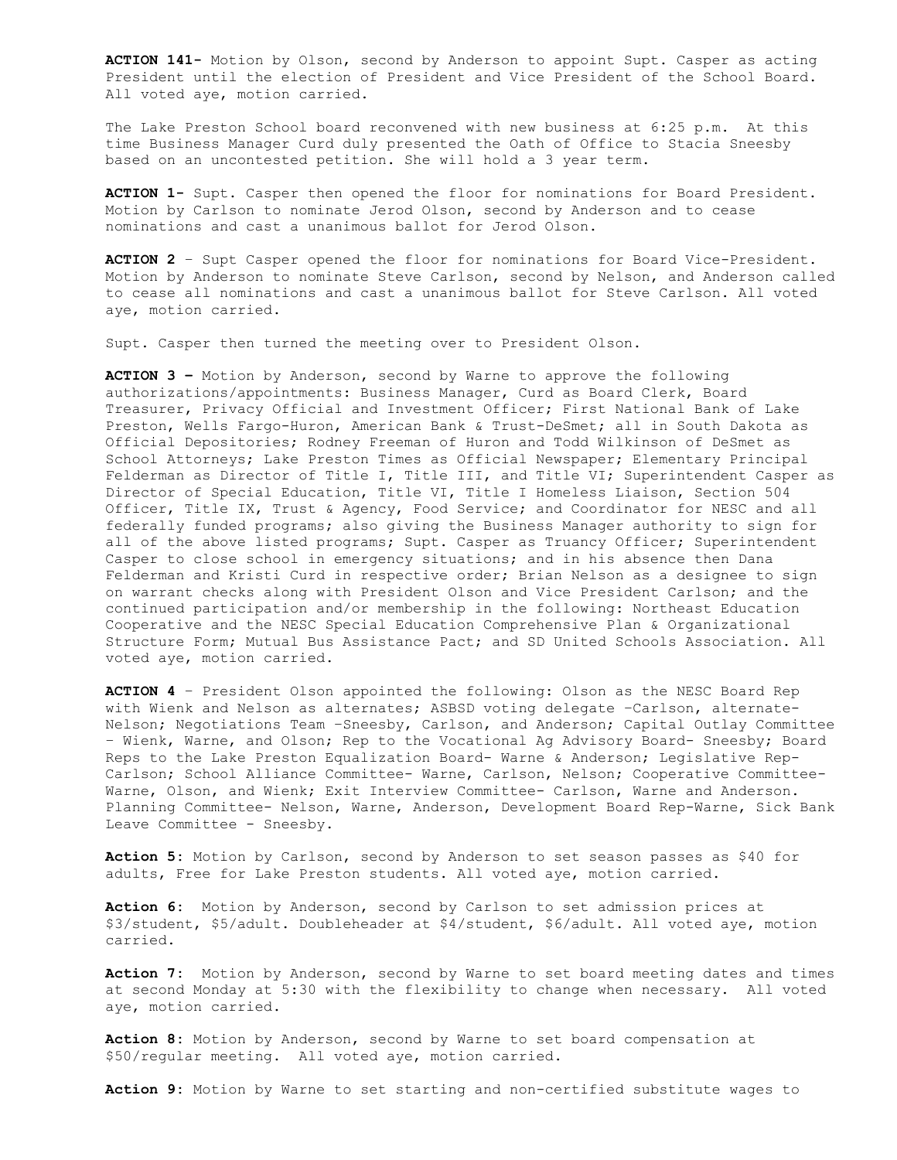**ACTION 141-** Motion by Olson, second by Anderson to appoint Supt. Casper as acting President until the election of President and Vice President of the School Board. All voted aye, motion carried.

The Lake Preston School board reconvened with new business at 6:25 p.m. At this time Business Manager Curd duly presented the Oath of Office to Stacia Sneesby based on an uncontested petition. She will hold a 3 year term.

**ACTION 1-** Supt. Casper then opened the floor for nominations for Board President. Motion by Carlson to nominate Jerod Olson, second by Anderson and to cease nominations and cast a unanimous ballot for Jerod Olson.

**ACTION 2** – Supt Casper opened the floor for nominations for Board Vice-President. Motion by Anderson to nominate Steve Carlson, second by Nelson, and Anderson called to cease all nominations and cast a unanimous ballot for Steve Carlson. All voted aye, motion carried.

Supt. Casper then turned the meeting over to President Olson.

**ACTION 3 –** Motion by Anderson, second by Warne to approve the following authorizations/appointments: Business Manager, Curd as Board Clerk, Board Treasurer, Privacy Official and Investment Officer; First National Bank of Lake Preston, Wells Fargo-Huron, American Bank & Trust-DeSmet; all in South Dakota as Official Depositories; Rodney Freeman of Huron and Todd Wilkinson of DeSmet as School Attorneys; Lake Preston Times as Official Newspaper; Elementary Principal Felderman as Director of Title I, Title III, and Title VI; Superintendent Casper as Director of Special Education, Title VI, Title I Homeless Liaison, Section 504 Officer, Title IX, Trust & Agency, Food Service; and Coordinator for NESC and all federally funded programs; also giving the Business Manager authority to sign for all of the above listed programs; Supt. Casper as Truancy Officer; Superintendent Casper to close school in emergency situations; and in his absence then Dana Felderman and Kristi Curd in respective order; Brian Nelson as a designee to sign on warrant checks along with President Olson and Vice President Carlson; and the continued participation and/or membership in the following: Northeast Education Cooperative and the NESC Special Education Comprehensive Plan & Organizational Structure Form; Mutual Bus Assistance Pact; and SD United Schools Association. All voted aye, motion carried.

**ACTION 4** – President Olson appointed the following: Olson as the NESC Board Rep with Wienk and Nelson as alternates; ASBSD voting delegate –Carlson, alternate-Nelson; Negotiations Team –Sneesby, Carlson, and Anderson; Capital Outlay Committee – Wienk, Warne, and Olson; Rep to the Vocational Ag Advisory Board- Sneesby; Board Reps to the Lake Preston Equalization Board- Warne & Anderson; Legislative Rep-Carlson; School Alliance Committee- Warne, Carlson, Nelson; Cooperative Committee-Warne, Olson, and Wienk; Exit Interview Committee- Carlson, Warne and Anderson. Planning Committee- Nelson, Warne, Anderson, Development Board Rep-Warne, Sick Bank Leave Committee - Sneesby.

**Action 5:** Motion by Carlson, second by Anderson to set season passes as \$40 for adults, Free for Lake Preston students. All voted aye, motion carried.

**Action 6:** Motion by Anderson, second by Carlson to set admission prices at \$3/student, \$5/adult. Doubleheader at \$4/student, \$6/adult. All voted aye, motion carried.

**Action 7:** Motion by Anderson, second by Warne to set board meeting dates and times at second Monday at 5:30 with the flexibility to change when necessary. All voted aye, motion carried.

**Action 8:** Motion by Anderson, second by Warne to set board compensation at \$50/regular meeting. All voted aye, motion carried.

**Action 9:** Motion by Warne to set starting and non-certified substitute wages to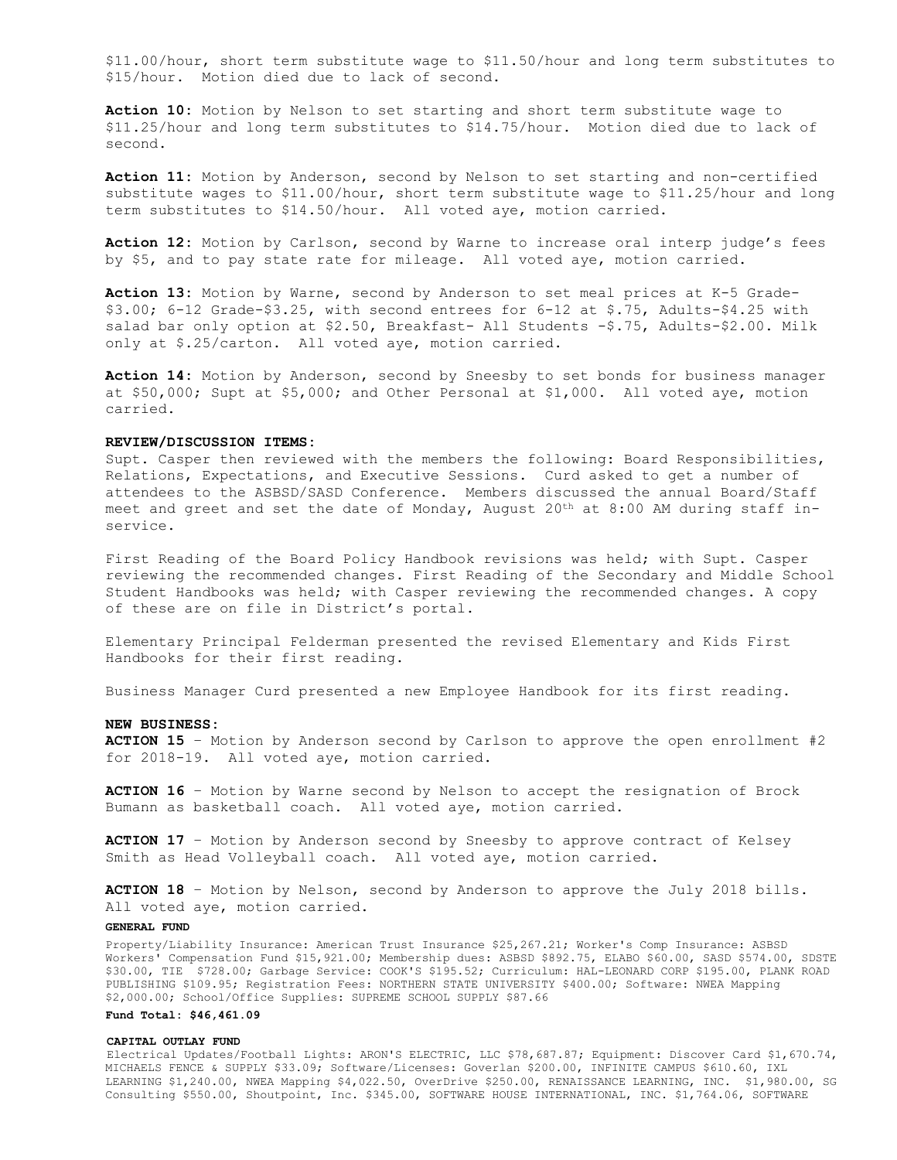\$11.00/hour, short term substitute wage to \$11.50/hour and long term substitutes to \$15/hour. Motion died due to lack of second.

**Action 10:** Motion by Nelson to set starting and short term substitute wage to \$11.25/hour and long term substitutes to \$14.75/hour. Motion died due to lack of second.

**Action 11:** Motion by Anderson, second by Nelson to set starting and non-certified substitute wages to \$11.00/hour, short term substitute wage to \$11.25/hour and long term substitutes to \$14.50/hour. All voted aye, motion carried.

**Action 12:** Motion by Carlson, second by Warne to increase oral interp judge's fees by \$5, and to pay state rate for mileage. All voted aye, motion carried.

**Action 13:** Motion by Warne, second by Anderson to set meal prices at K-5 Grade-  $$3.00; 6-12$  Grade- $$3.25$ , with second entrees for  $6-12$  at  $$.75$ , Adults- $$4.25$  with salad bar only option at \$2.50, Breakfast- All Students -\$.75, Adults-\$2.00. Milk only at \$.25/carton. All voted aye, motion carried.

**Action 14:** Motion by Anderson, second by Sneesby to set bonds for business manager at \$50,000; Supt at \$5,000; and Other Personal at \$1,000. All voted aye, motion carried.

### **REVIEW/DISCUSSION ITEMS:**

Supt. Casper then reviewed with the members the following: Board Responsibilities, Relations, Expectations, and Executive Sessions. Curd asked to get a number of attendees to the ASBSD/SASD Conference. Members discussed the annual Board/Staff meet and greet and set the date of Monday, August  $20<sup>th</sup>$  at  $8:00$  AM during staff inservice.

First Reading of the Board Policy Handbook revisions was held; with Supt. Casper reviewing the recommended changes. First Reading of the Secondary and Middle School Student Handbooks was held; with Casper reviewing the recommended changes. A copy of these are on file in District's portal.

Elementary Principal Felderman presented the revised Elementary and Kids First Handbooks for their first reading.

Business Manager Curd presented a new Employee Handbook for its first reading.

## **NEW BUSINESS:**

**ACTION 15** – Motion by Anderson second by Carlson to approve the open enrollment #2 for 2018-19. All voted aye, motion carried.

**ACTION 16** – Motion by Warne second by Nelson to accept the resignation of Brock Bumann as basketball coach. All voted aye, motion carried.

**ACTION 17** – Motion by Anderson second by Sneesby to approve contract of Kelsey Smith as Head Volleyball coach. All voted aye, motion carried.

**ACTION 18** – Motion by Nelson, second by Anderson to approve the July 2018 bills. All voted aye, motion carried.

#### **GENERAL FUND**

Property/Liability Insurance: American Trust Insurance \$25,267.21; Worker's Comp Insurance: ASBSD Workers' Compensation Fund \$15,921.00; Membership dues: ASBSD \$892.75, ELABO \$60.00, SASD \$574.00, SDSTE \$30.00, TIE \$728.00; Garbage Service: COOK'S \$195.52; Curriculum: HAL-LEONARD CORP \$195.00, PLANK ROAD PUBLISHING \$109.95; Registration Fees: NORTHERN STATE UNIVERSITY \$400.00; Software: NWEA Mapping \$2,000.00; School/Office Supplies: SUPREME SCHOOL SUPPLY \$87.66

## **Fund Total: \$46,461.09**

#### **CAPITAL OUTLAY FUND**

Electrical Updates/Football Lights: ARON'S ELECTRIC, LLC \$78,687.87; Equipment: Discover Card \$1,670.74, MICHAELS FENCE & SUPPLY \$33.09; Software/Licenses: Goverlan \$200.00, INFINITE CAMPUS \$610.60, IXL LEARNING \$1,240.00, NWEA Mapping \$4,022.50, OverDrive \$250.00, RENAISSANCE LEARNING, INC. \$1,980.00, SG Consulting \$550.00, Shoutpoint, Inc. \$345.00, SOFTWARE HOUSE INTERNATIONAL, INC. \$1,764.06, SOFTWARE